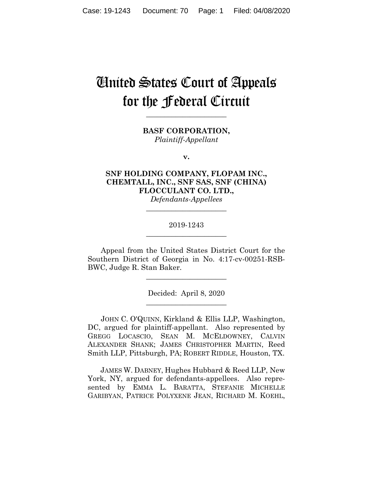# United States Court of Appeals for the Federal Circuit

**BASF CORPORATION,** *Plaintiff-Appellant*

**\_\_\_\_\_\_\_\_\_\_\_\_\_\_\_\_\_\_\_\_\_\_**

**v.**

**SNF HOLDING COMPANY, FLOPAM INC., CHEMTALL, INC., SNF SAS, SNF (CHINA) FLOCCULANT CO. LTD.,** *Defendants-Appellees*

# 2019-1243 **\_\_\_\_\_\_\_\_\_\_\_\_\_\_\_\_\_\_\_\_\_\_**

**\_\_\_\_\_\_\_\_\_\_\_\_\_\_\_\_\_\_\_\_\_\_**

Appeal from the United States District Court for the Southern District of Georgia in No. 4:17-cv-00251-RSB-BWC, Judge R. Stan Baker.

> Decided: April 8, 2020 **\_\_\_\_\_\_\_\_\_\_\_\_\_\_\_\_\_\_\_\_\_\_**

> **\_\_\_\_\_\_\_\_\_\_\_\_\_\_\_\_\_\_\_\_\_\_**

JOHN C. O'QUINN, Kirkland & Ellis LLP, Washington, DC, argued for plaintiff-appellant. Also represented by GREGG LOCASCIO, SEAN M. MCELDOWNEY, CALVIN ALEXANDER SHANK; JAMES CHRISTOPHER MARTIN, Reed Smith LLP, Pittsburgh, PA; ROBERT RIDDLE, Houston, TX.

 JAMES W. DABNEY, Hughes Hubbard & Reed LLP, New York, NY, argued for defendants-appellees. Also represented by EMMA L. BARATTA, STEFANIE MICHELLE GARIBYAN, PATRICE POLYXENE JEAN, RICHARD M. KOEHL,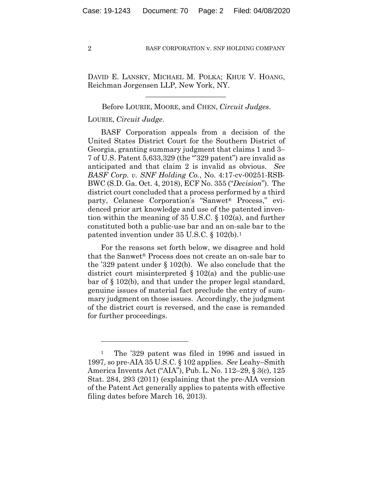DAVID E. LANSKY, MICHAEL M. POLKA; KHUE V. HOANG, Reichman Jorgensen LLP, New York, NY.

 $\mathcal{L}_\text{max}$  and  $\mathcal{L}_\text{max}$  and  $\mathcal{L}_\text{max}$  and  $\mathcal{L}_\text{max}$ 

# Before LOURIE, MOORE, and CHEN, *Circuit Judges*.

# LOURIE, *Circuit Judge*.

BASF Corporation appeals from a decision of the United States District Court for the Southern District of Georgia, granting summary judgment that claims 1 and 3– 7 of U.S. Patent 5,633,329 (the "'329 patent") are invalid as anticipated and that claim 2 is invalid as obvious. *See BASF Corp. v. SNF Holding Co.*, No. 4:17-cv-00251-RSB-BWC (S.D. Ga. Oct. 4, 2018), ECF No. 355 ("*Decision*"). The district court concluded that a process performed by a third party, Celanese Corporation's "Sanwet® Process," evidenced prior art knowledge and use of the patented invention within the meaning of 35 U.S.C. § 102(a), and further constituted both a public-use bar and an on-sale bar to the patented invention under 35 U.S.C. § 102(b).1

For the reasons set forth below, we disagree and hold that the Sanwet® Process does not create an on-sale bar to the '329 patent under § 102(b). We also conclude that the district court misinterpreted § 102(a) and the public-use bar of § 102(b), and that under the proper legal standard, genuine issues of material fact preclude the entry of summary judgment on those issues. Accordingly, the judgment of the district court is reversed, and the case is remanded for further proceedings.

<sup>1</sup> The '329 patent was filed in 1996 and issued in 1997, so pre-AIA 35 U.S.C. § 102 applies. *See* Leahy–Smith America Invents Act ("AIA"), Pub. L. No. 112–29, § 3(c), 125 Stat. 284, 293 (2011) (explaining that the pre-AIA version of the Patent Act generally applies to patents with effective filing dates before March 16, 2013).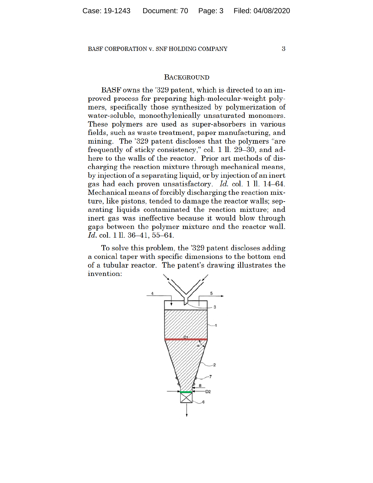3

# **BACKGROUND**

BASF owns the '329 patent, which is directed to an improved process for preparing high-molecular-weight polymers, specifically those synthesized by polymerization of water-soluble, monoethylenically unsaturated monomers. These polymers are used as super-absorbers in various fields, such as waste treatment, paper manufacturing, and mining. The '329 patent discloses that the polymers "are frequently of sticky consistency," col. 1 ll. 29–30, and adhere to the walls of the reactor. Prior art methods of discharging the reaction mixture through mechanical means, by injection of a separating liquid, or by injection of an inert gas had each proven unsatisfactory. Id. col. 1 ll. 14–64. Mechanical means of forcibly discharging the reaction mixture, like pistons, tended to damage the reactor walls; separating liquids contaminated the reaction mixture; and inert gas was ineffective because it would blow through gaps between the polymer mixture and the reactor wall. Id. col. 1 ll. 36-41, 55-64.

To solve this problem, the '329 patent discloses adding a conical taper with specific dimensions to the bottom end of a tubular reactor. The patent's drawing illustrates the invention:

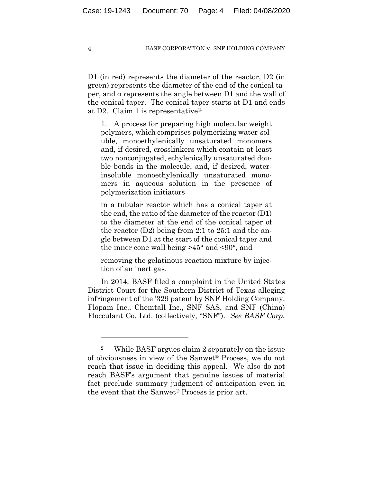D1 (in red) represents the diameter of the reactor, D2 (in green) represents the diameter of the end of the conical taper, and α represents the angle between D1 and the wall of the conical taper. The conical taper starts at D1 and ends at D2. Claim 1 is representative<sup>2</sup>:

1. A process for preparing high molecular weight polymers, which comprises polymerizing water-soluble, monoethylenically unsaturated monomers and, if desired, crosslinkers which contain at least two nonconjugated, ethylenically unsaturated double bonds in the molecule, and, if desired, waterinsoluble monoethylenically unsaturated monomers in aqueous solution in the presence of polymerization initiators

in a tubular reactor which has a conical taper at the end, the ratio of the diameter of the reactor (D1) to the diameter at the end of the conical taper of the reactor (D2) being from 2:1 to 25:1 and the angle between D1 at the start of the conical taper and the inner cone wall being >45° and <90°, and

removing the gelatinous reaction mixture by injection of an inert gas.

In 2014, BASF filed a complaint in the United States District Court for the Southern District of Texas alleging infringement of the '329 patent by SNF Holding Company, Flopam Inc., Chemtall Inc., SNF SAS, and SNF (China) Flocculant Co. Ltd. (collectively, "SNF"). *See BASF Corp.* 

<sup>2</sup> While BASF argues claim 2 separately on the issue of obviousness in view of the Sanwet® Process, we do not reach that issue in deciding this appeal. We also do not reach BASF's argument that genuine issues of material fact preclude summary judgment of anticipation even in the event that the Sanwet® Process is prior art.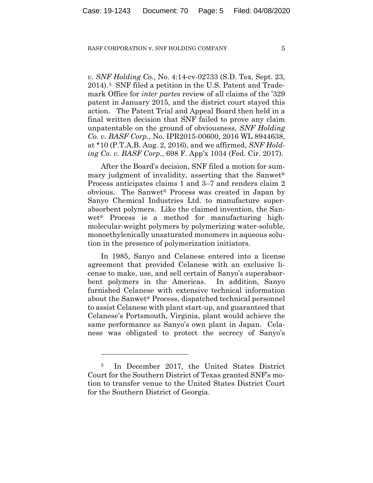*v. SNF Holding Co.*, No. 4:14-cv-02733 (S.D. Tex. Sept. 23, 2014).3 SNF filed a petition in the U.S. Patent and Trademark Office for *inter partes* review of all claims of the '329 patent in January 2015, and the district court stayed this action. The Patent Trial and Appeal Board then held in a final written decision that SNF failed to prove any claim unpatentable on the ground of obviousness, *SNF Holding Co. v. BASF Corp.*, No. IPR2015-00600, 2016 WL 8944638, at \*10 (P.T.A.B. Aug. 2, 2016), and we affirmed, *SNF Holding Co. v. BASF Corp.*, 698 F. App'x 1034 (Fed. Cir. 2017).

After the Board's decision, SNF filed a motion for summary judgment of invalidity, asserting that the Sanwet® Process anticipates claims 1 and 3–7 and renders claim 2 obvious. The Sanwet® Process was created in Japan by Sanyo Chemical Industries Ltd. to manufacture superabsorbent polymers. Like the claimed invention, the Sanwet® Process is a method for manufacturing highmolecular-weight polymers by polymerizing water-soluble, monoethylenically unsaturated monomers in aqueous solution in the presence of polymerization initiators.

In 1985, Sanyo and Celanese entered into a license agreement that provided Celanese with an exclusive license to make, use, and sell certain of Sanyo's superabsorbent polymers in the Americas. In addition, Sanyo furnished Celanese with extensive technical information about the Sanwet® Process, dispatched technical personnel to assist Celanese with plant start-up, and guaranteed that Celanese's Portsmouth, Virginia, plant would achieve the same performance as Sanyo's own plant in Japan. Celanese was obligated to protect the secrecy of Sanyo's

<sup>3</sup> In December 2017, the United States District Court for the Southern District of Texas granted SNF's motion to transfer venue to the United States District Court for the Southern District of Georgia.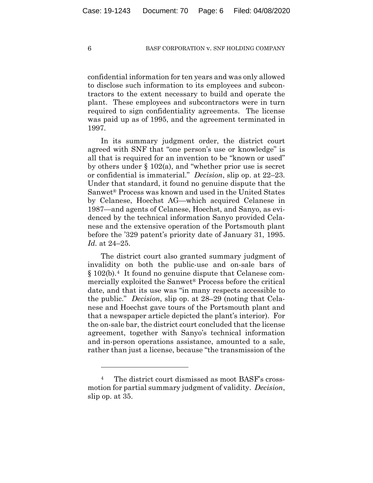confidential information for ten years and was only allowed to disclose such information to its employees and subcontractors to the extent necessary to build and operate the plant. These employees and subcontractors were in turn required to sign confidentiality agreements. The license was paid up as of 1995, and the agreement terminated in 1997.

In its summary judgment order, the district court agreed with SNF that "one person's use or knowledge" is all that is required for an invention to be "known or used" by others under § 102(a), and "whether prior use is secret or confidential is immaterial." *Decision*, slip op. at 22–23. Under that standard, it found no genuine dispute that the Sanwet® Process was known and used in the United States by Celanese, Hoechst AG—which acquired Celanese in 1987—and agents of Celanese, Hoechst, and Sanyo, as evidenced by the technical information Sanyo provided Celanese and the extensive operation of the Portsmouth plant before the '329 patent's priority date of January 31, 1995. *Id.* at 24–25.

The district court also granted summary judgment of invalidity on both the public-use and on-sale bars of § 102(b).4 It found no genuine dispute that Celanese commercially exploited the Sanwet® Process before the critical date, and that its use was "in many respects accessible to the public." *Decision*, slip op. at 28–29 (noting that Celanese and Hoechst gave tours of the Portsmouth plant and that a newspaper article depicted the plant's interior). For the on-sale bar, the district court concluded that the license agreement, together with Sanyo's technical information and in-person operations assistance, amounted to a sale, rather than just a license, because "the transmission of the

<sup>4</sup> The district court dismissed as moot BASF's crossmotion for partial summary judgment of validity. *Decision*, slip op. at 35.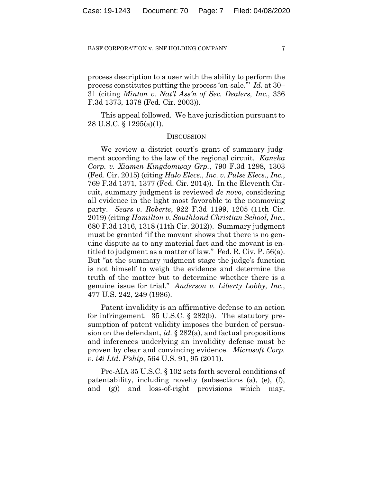process description to a user with the ability to perform the process constitutes putting the process 'on-sale.'" *Id.* at 30– 31 (citing *Minton v. Nat'l Ass'n of Sec. Dealers, Inc.*, 336 F.3d 1373, 1378 (Fed. Cir. 2003)).

This appeal followed. We have jurisdiction pursuant to 28 U.S.C. § 1295(a)(1).

## **DISCUSSION**

We review a district court's grant of summary judgment according to the law of the regional circuit. *Kaneka Corp. v. Xiamen Kingdomway Grp.*, 790 F.3d 1298, 1303 (Fed. Cir. 2015) (citing *Halo Elecs., Inc. v. Pulse Elecs., Inc.*, 769 F.3d 1371, 1377 (Fed. Cir. 2014)). In the Eleventh Circuit, summary judgment is reviewed *de novo*, considering all evidence in the light most favorable to the nonmoving party. *Sears v. Roberts*, 922 F.3d 1199, 1205 (11th Cir. 2019) (citing *Hamilton v. Southland Christian School, Inc.*, 680 F.3d 1316, 1318 (11th Cir. 2012)). Summary judgment must be granted "if the movant shows that there is no genuine dispute as to any material fact and the movant is entitled to judgment as a matter of law." Fed. R. Civ. P. 56(a). But "at the summary judgment stage the judge's function is not himself to weigh the evidence and determine the truth of the matter but to determine whether there is a genuine issue for trial." *Anderson v. Liberty Lobby, Inc.*, 477 U.S. 242, 249 (1986).

Patent invalidity is an affirmative defense to an action for infringement. 35 U.S.C. § 282(b). The statutory presumption of patent validity imposes the burden of persuasion on the defendant, *id.* § 282(a), and factual propositions and inferences underlying an invalidity defense must be proven by clear and convincing evidence. *Microsoft Corp. v. i4i Ltd. P'ship*, 564 U.S. 91, 95 (2011).

Pre-AIA 35 U.S.C. § 102 sets forth several conditions of patentability, including novelty (subsections (a), (e), (f), and (g)) and loss-of-right provisions which may,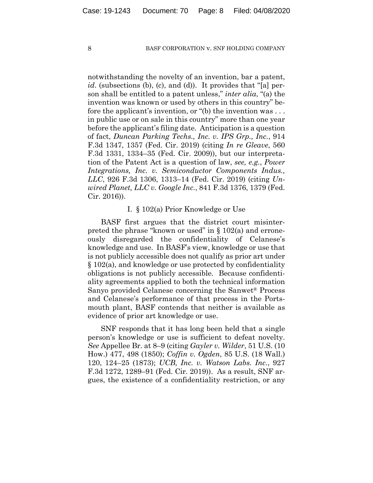notwithstanding the novelty of an invention, bar a patent, *id.* (subsections (b), (c), and (d)). It provides that "[a] person shall be entitled to a patent unless," *inter alia*, "(a) the invention was known or used by others in this country" before the applicant's invention, or "(b) the invention was . . . in public use or on sale in this country" more than one year before the applicant's filing date. Anticipation is a question of fact, *Duncan Parking Techs., Inc. v. IPS Grp., Inc.*, 914 F.3d 1347, 1357 (Fed. Cir. 2019) (citing *In re Gleave*, 560 F.3d 1331, 1334–35 (Fed. Cir. 2009)), but our interpretation of the Patent Act is a question of law, *see, e.g.*, *Power Integrations, Inc. v. Semiconductor Components Indus., LLC*, 926 F.3d 1306, 1313–14 (Fed. Cir. 2019) (citing *Unwired Planet, LLC v. Google Inc.*, 841 F.3d 1376, 1379 (Fed. Cir. 2016)).

# I. § 102(a) Prior Knowledge or Use

BASF first argues that the district court misinterpreted the phrase "known or used" in § 102(a) and erroneously disregarded the confidentiality of Celanese's knowledge and use. In BASF's view, knowledge or use that is not publicly accessible does not qualify as prior art under § 102(a), and knowledge or use protected by confidentiality obligations is not publicly accessible. Because confidentiality agreements applied to both the technical information Sanyo provided Celanese concerning the Sanwet® Process and Celanese's performance of that process in the Portsmouth plant, BASF contends that neither is available as evidence of prior art knowledge or use.

SNF responds that it has long been held that a single person's knowledge or use is sufficient to defeat novelty. *See* Appellee Br. at 8–9 (citing *Gayler v. Wilder*, 51 U.S. (10 How.) 477, 498 (1850); *Coffin v. Ogden*, 85 U.S. (18 Wall.) 120, 124–25 (1873); *UCB, Inc. v. Watson Labs. Inc.*, 927 F.3d 1272, 1289–91 (Fed. Cir. 2019)). As a result, SNF argues, the existence of a confidentiality restriction, or any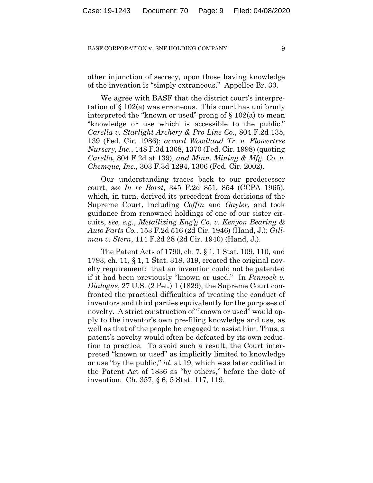other injunction of secrecy, upon those having knowledge of the invention is "simply extraneous." Appellee Br. 30.

We agree with BASF that the district court's interpretation of § 102(a) was erroneous. This court has uniformly interpreted the "known or used" prong of  $\S 102(a)$  to mean "knowledge or use which is accessible to the public." *Carella v. Starlight Archery & Pro Line Co.*, 804 F.2d 135, 139 (Fed. Cir. 1986); *accord Woodland Tr. v. Flowertree Nursery, Inc.*, 148 F.3d 1368, 1370 (Fed. Cir. 1998) (quoting *Carella*, 804 F.2d at 139), *and Minn. Mining & Mfg. Co. v. Chemque, Inc.*, 303 F.3d 1294, 1306 (Fed. Cir. 2002).

Our understanding traces back to our predecessor court, *see In re Borst*, 345 F.2d 851, 854 (CCPA 1965), which, in turn, derived its precedent from decisions of the Supreme Court, including *Coffin* and *Gayler*, and took guidance from renowned holdings of one of our sister circuits, *see, e.g.*, *Metallizing Eng'g Co. v. Kenyon Bearing & Auto Parts Co.*, 153 F.2d 516 (2d Cir. 1946) (Hand, J.); *Gillman v. Stern*, 114 F.2d 28 (2d Cir. 1940) (Hand, J.).

The Patent Acts of 1790, ch. 7, § 1, 1 Stat. 109, 110, and 1793, ch. 11, § 1, 1 Stat. 318, 319, created the original novelty requirement: that an invention could not be patented if it had been previously "known or used." In *Pennock v. Dialogue*, 27 U.S. (2 Pet.) 1 (1829), the Supreme Court confronted the practical difficulties of treating the conduct of inventors and third parties equivalently for the purposes of novelty. A strict construction of "known or used" would apply to the inventor's own pre-filing knowledge and use, as well as that of the people he engaged to assist him. Thus, a patent's novelty would often be defeated by its own reduction to practice. To avoid such a result, the Court interpreted "known or used" as implicitly limited to knowledge or use "by the public," *id.* at 19, which was later codified in the Patent Act of 1836 as "by others," before the date of invention. Ch. 357, § 6, 5 Stat. 117, 119.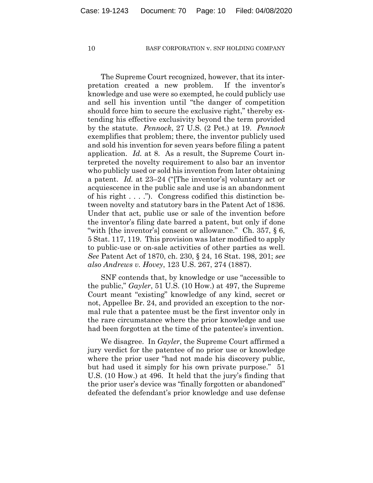The Supreme Court recognized, however, that its interpretation created a new problem. If the inventor's knowledge and use were so exempted, he could publicly use and sell his invention until "the danger of competition should force him to secure the exclusive right," thereby extending his effective exclusivity beyond the term provided by the statute. *Pennock*, 27 U.S. (2 Pet.) at 19. *Pennock* exemplifies that problem; there, the inventor publicly used and sold his invention for seven years before filing a patent application. *Id.* at 8. As a result, the Supreme Court interpreted the novelty requirement to also bar an inventor who publicly used or sold his invention from later obtaining a patent. *Id.* at 23–24 ("[The inventor's] voluntary act or acquiescence in the public sale and use is an abandonment of his right . . . ."). Congress codified this distinction between novelty and statutory bars in the Patent Act of 1836. Under that act, public use or sale of the invention before the inventor's filing date barred a patent, but only if done "with [the inventor's] consent or allowance." Ch. 357, § 6, 5 Stat. 117, 119. This provision was later modified to apply to public-use or on-sale activities of other parties as well. *See* Patent Act of 1870, ch. 230, § 24, 16 Stat. 198, 201; *see also Andrews v. Hovey*, 123 U.S. 267, 274 (1887).

SNF contends that, by knowledge or use "accessible to the public," *Gayler*, 51 U.S. (10 How.) at 497, the Supreme Court meant "existing" knowledge of any kind, secret or not, Appellee Br. 24, and provided an exception to the normal rule that a patentee must be the first inventor only in the rare circumstance where the prior knowledge and use had been forgotten at the time of the patentee's invention.

We disagree. In *Gayler*, the Supreme Court affirmed a jury verdict for the patentee of no prior use or knowledge where the prior user "had not made his discovery public, but had used it simply for his own private purpose." 51 U.S. (10 How.) at 496. It held that the jury's finding that the prior user's device was "finally forgotten or abandoned" defeated the defendant's prior knowledge and use defense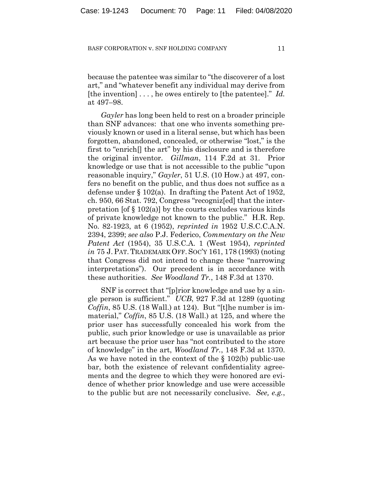because the patentee was similar to "the discoverer of a lost art," and "whatever benefit any individual may derive from [the invention] . . . , he owes entirely to [the patentee]." *Id.*  at 497–98.

*Gayler* has long been held to rest on a broader principle than SNF advances: that one who invents something previously known or used in a literal sense, but which has been forgotten, abandoned, concealed, or otherwise "lost," is the first to "enrich[] the art" by his disclosure and is therefore the original inventor. *Gillman*, 114 F.2d at 31. Prior knowledge or use that is not accessible to the public "upon reasonable inquiry," *Gayler*, 51 U.S. (10 How.) at 497, confers no benefit on the public, and thus does not suffice as a defense under § 102(a). In drafting the Patent Act of 1952, ch. 950, 66 Stat. 792, Congress "recogniz[ed] that the interpretation [of  $\S 102(a)$ ] by the courts excludes various kinds of private knowledge not known to the public." H.R. Rep. No. 82-1923, at 6 (1952), *reprinted in* 1952 U.S.C.C.A.N. 2394, 2399; *see also* P.J. Federico, *Commentary on the New Patent Act* (1954), 35 U.S.C.A. 1 (West 1954), *reprinted in* 75 J. PAT. TRADEMARK OFF. SOC'Y 161, 178 (1993) (noting that Congress did not intend to change these "narrowing interpretations"). Our precedent is in accordance with these authorities. *See Woodland Tr.*, 148 F.3d at 1370.

SNF is correct that "[p]rior knowledge and use by a single person is sufficient." *UCB*, 927 F.3d at 1289 (quoting *Coffin*, 85 U.S. (18 Wall.) at 124). But "[t]he number is immaterial," *Coffin*, 85 U.S. (18 Wall.) at 125, and where the prior user has successfully concealed his work from the public, such prior knowledge or use is unavailable as prior art because the prior user has "not contributed to the store of knowledge" in the art, *Woodland Tr.*, 148 F.3d at 1370. As we have noted in the context of the § 102(b) public-use bar, both the existence of relevant confidentiality agreements and the degree to which they were honored are evidence of whether prior knowledge and use were accessible to the public but are not necessarily conclusive. *See, e.g.*,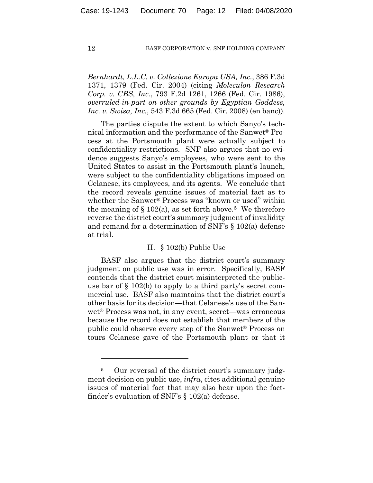*Bernhardt, L.L.C. v. Collezione Europa USA, Inc.*, 386 F.3d 1371, 1379 (Fed. Cir. 2004) (citing *Moleculon Research Corp. v. CBS, Inc.*, 793 F.2d 1261, 1266 (Fed. Cir. 1986), *overruled-in-part on other grounds by Egyptian Goddess, Inc. v. Swisa, Inc.*, 543 F.3d 665 (Fed. Cir. 2008) (en banc)).

The parties dispute the extent to which Sanyo's technical information and the performance of the Sanwet® Process at the Portsmouth plant were actually subject to confidentiality restrictions. SNF also argues that no evidence suggests Sanyo's employees, who were sent to the United States to assist in the Portsmouth plant's launch, were subject to the confidentiality obligations imposed on Celanese, its employees, and its agents. We conclude that the record reveals genuine issues of material fact as to whether the Sanwet® Process was "known or used" within the meaning of  $\S 102(a)$ , as set forth above.<sup>5</sup> We therefore reverse the district court's summary judgment of invalidity and remand for a determination of SNF's § 102(a) defense at trial.

# II. § 102(b) Public Use

BASF also argues that the district court's summary judgment on public use was in error. Specifically, BASF contends that the district court misinterpreted the publicuse bar of § 102(b) to apply to a third party's secret commercial use. BASF also maintains that the district court's other basis for its decision—that Celanese's use of the Sanwet® Process was not, in any event, secret—was erroneous because the record does not establish that members of the public could observe every step of the Sanwet® Process on tours Celanese gave of the Portsmouth plant or that it

<sup>5</sup> Our reversal of the district court's summary judgment decision on public use, *infra*, cites additional genuine issues of material fact that may also bear upon the factfinder's evaluation of SNF's § 102(a) defense.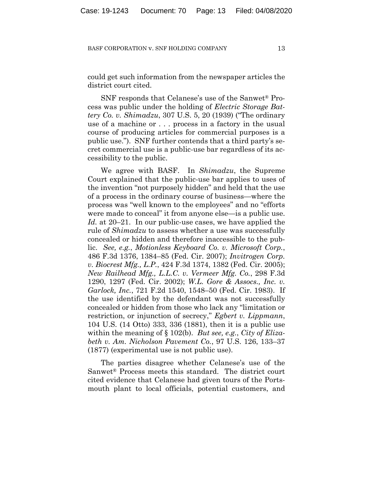could get such information from the newspaper articles the district court cited.

SNF responds that Celanese's use of the Sanwet® Process was public under the holding of *Electric Storage Battery Co. v. Shimadzu*, 307 U.S. 5, 20 (1939) ("The ordinary use of a machine or . . . process in a factory in the usual course of producing articles for commercial purposes is a public use."). SNF further contends that a third party's secret commercial use is a public-use bar regardless of its accessibility to the public.

We agree with BASF. In *Shimadzu*, the Supreme Court explained that the public-use bar applies to uses of the invention "not purposely hidden" and held that the use of a process in the ordinary course of business—where the process was "well known to the employees" and no "efforts were made to conceal" it from anyone else—is a public use. *Id.* at 20–21. In our public-use cases, we have applied the rule of *Shimadzu* to assess whether a use was successfully concealed or hidden and therefore inaccessible to the public. *See, e.g.*, *Motionless Keyboard Co. v. Microsoft Corp.*, 486 F.3d 1376, 1384–85 (Fed. Cir. 2007); *Invitrogen Corp. v. Biocrest Mfg., L.P.*, 424 F.3d 1374, 1382 (Fed. Cir. 2005); *New Railhead Mfg., L.L.C. v. Vermeer Mfg. Co.*, 298 F.3d 1290, 1297 (Fed. Cir. 2002); *W.L. Gore & Assocs., Inc. v. Garlock, Inc.*, 721 F.2d 1540, 1548–50 (Fed. Cir. 1983). If the use identified by the defendant was not successfully concealed or hidden from those who lack any "limitation or restriction, or injunction of secrecy," *Egbert v. Lippmann*, 104 U.S. (14 Otto) 333, 336 (1881), then it is a public use within the meaning of § 102(b). *But see, e.g.*, *City of Elizabeth v. Am. Nicholson Pavement Co.*, 97 U.S. 126, 133–37 (1877) (experimental use is not public use).

The parties disagree whether Celanese's use of the Sanwet® Process meets this standard. The district court cited evidence that Celanese had given tours of the Portsmouth plant to local officials, potential customers, and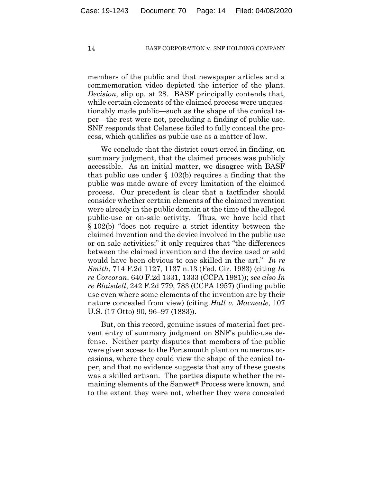members of the public and that newspaper articles and a commemoration video depicted the interior of the plant. *Decision*, slip op. at 28. BASF principally contends that, while certain elements of the claimed process were unquestionably made public—such as the shape of the conical taper—the rest were not, precluding a finding of public use. SNF responds that Celanese failed to fully conceal the process, which qualifies as public use as a matter of law.

We conclude that the district court erred in finding, on summary judgment, that the claimed process was publicly accessible. As an initial matter, we disagree with BASF that public use under § 102(b) requires a finding that the public was made aware of every limitation of the claimed process. Our precedent is clear that a factfinder should consider whether certain elements of the claimed invention were already in the public domain at the time of the alleged public-use or on-sale activity. Thus, we have held that § 102(b) "does not require a strict identity between the claimed invention and the device involved in the public use or on sale activities;" it only requires that "the differences between the claimed invention and the device used or sold would have been obvious to one skilled in the art." *In re Smith*, 714 F.2d 1127, 1137 n.13 (Fed. Cir. 1983) (citing *In re Corcoran*, 640 F.2d 1331, 1333 (CCPA 1981)); *see also In re Blaisdell*, 242 F.2d 779, 783 (CCPA 1957) (finding public use even where some elements of the invention are by their nature concealed from view) (citing *Hall v. Macneale*, 107 U.S. (17 Otto) 90, 96–97 (1883)).

But, on this record, genuine issues of material fact prevent entry of summary judgment on SNF's public-use defense. Neither party disputes that members of the public were given access to the Portsmouth plant on numerous occasions, where they could view the shape of the conical taper, and that no evidence suggests that any of these guests was a skilled artisan. The parties dispute whether the remaining elements of the Sanwet® Process were known, and to the extent they were not, whether they were concealed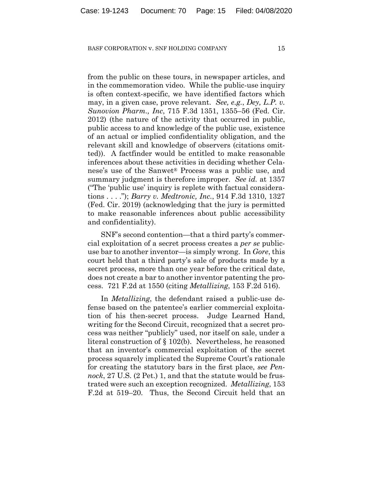from the public on these tours, in newspaper articles, and in the commemoration video. While the public-use inquiry is often context-specific, we have identified factors which may, in a given case, prove relevant. *See, e.g.*, *Dey, L.P. v. Sunovion Pharm., Inc*, 715 F.3d 1351, 1355–56 (Fed. Cir. 2012) (the nature of the activity that occurred in public, public access to and knowledge of the public use, existence of an actual or implied confidentiality obligation, and the relevant skill and knowledge of observers (citations omitted)). A factfinder would be entitled to make reasonable inferences about these activities in deciding whether Celanese's use of the Sanwet® Process was a public use, and summary judgment is therefore improper. *See id.* at 1357 ("The 'public use' inquiry is replete with factual considerations . . . ."); *Barry v. Medtronic, Inc.*, 914 F.3d 1310, 1327 (Fed. Cir. 2019) (acknowledging that the jury is permitted to make reasonable inferences about public accessibility and confidentiality).

SNF's second contention—that a third party's commercial exploitation of a secret process creates a *per se* publicuse bar to another inventor—is simply wrong. In *Gore*, this court held that a third party's sale of products made by a secret process, more than one year before the critical date, does not create a bar to another inventor patenting the process. 721 F.2d at 1550 (citing *Metallizing*, 153 F.2d 516).

In *Metallizing*, the defendant raised a public-use defense based on the patentee's earlier commercial exploitation of his then-secret process. Judge Learned Hand, writing for the Second Circuit, recognized that a secret process was neither "publicly" used, nor itself on sale, under a literal construction of § 102(b). Nevertheless, he reasoned that an inventor's commercial exploitation of the secret process squarely implicated the Supreme Court's rationale for creating the statutory bars in the first place, *see Pennock*, 27 U.S. (2 Pet.) 1, and that the statute would be frustrated were such an exception recognized. *Metallizing*, 153 F.2d at 519–20. Thus, the Second Circuit held that an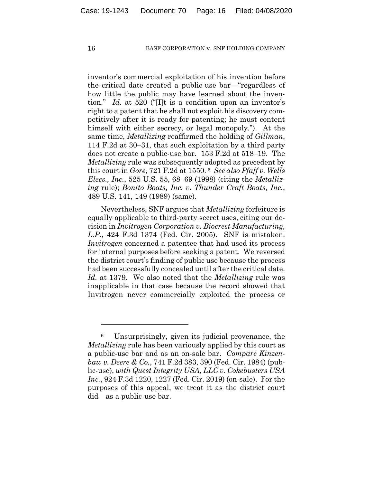inventor's commercial exploitation of his invention before the critical date created a public-use bar—"regardless of how little the public may have learned about the invention." *Id.* at 520 ("[I]t is a condition upon an inventor's right to a patent that he shall not exploit his discovery competitively after it is ready for patenting; he must content himself with either secrecy, or legal monopoly."). At the same time, *Metallizing* reaffirmed the holding of *Gillman*, 114 F.2d at 30–31, that such exploitation by a third party does not create a public-use bar. 153 F.2d at 518–19. The *Metallizing* rule was subsequently adopted as precedent by this court in *Gore*, 721 F.2d at 1550. 6 *See also Pfaff v. Wells Elecs., Inc.*, 525 U.S. 55, 68–69 (1998) (citing the *Metallizing* rule); *Bonito Boats, Inc. v. Thunder Craft Boats, Inc.*, 489 U.S. 141, 149 (1989) (same).

Nevertheless, SNF argues that *Metallizing* forfeiture is equally applicable to third-party secret uses, citing our decision in *Invitrogen Corporation v. Biocrest Manufacturing, L.P.*, 424 F.3d 1374 (Fed. Cir. 2005). SNF is mistaken. *Invitrogen* concerned a patentee that had used its process for internal purposes before seeking a patent. We reversed the district court's finding of public use because the process had been successfully concealed until after the critical date. *Id.* at 1379. We also noted that the *Metallizing* rule was inapplicable in that case because the record showed that Invitrogen never commercially exploited the process or

<sup>6</sup> Unsurprisingly, given its judicial provenance, the *Metallizing* rule has been variously applied by this court as a public-use bar and as an on-sale bar. *Compare Kinzenbaw v. Deere & Co.*, 741 F.2d 383, 390 (Fed. Cir. 1984) (public-use), *with Quest Integrity USA, LLC v. Cokebusters USA Inc.*, 924 F.3d 1220, 1227 (Fed. Cir. 2019) (on-sale). For the purposes of this appeal, we treat it as the district court did—as a public-use bar.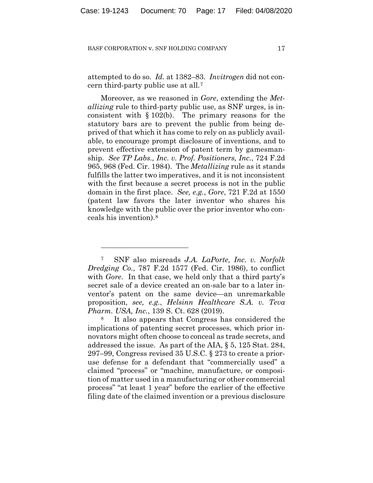attempted to do so. *Id.* at 1382–83. *Invitrogen* did not concern third-party public use at all.7

Moreover, as we reasoned in *Gore*, extending the *Metallizing* rule to third-party public use, as SNF urges, is inconsistent with § 102(b). The primary reasons for the statutory bars are to prevent the public from being deprived of that which it has come to rely on as publicly available, to encourage prompt disclosure of inventions, and to prevent effective extension of patent term by gamesmanship. *See TP Labs., Inc. v. Prof. Positioners, Inc.*, 724 F.2d 965, 968 (Fed. Cir. 1984). The *Metallizing* rule as it stands fulfills the latter two imperatives, and it is not inconsistent with the first because a secret process is not in the public domain in the first place. *See, e.g.*, *Gore*, 721 F.2d at 1550 (patent law favors the later inventor who shares his knowledge with the public over the prior inventor who conceals his invention).8

It also appears that Congress has considered the implications of patenting secret processes, which prior innovators might often choose to conceal as trade secrets, and addressed the issue. As part of the AIA, § 5, 125 Stat. 284, 297–99, Congress revised 35 U.S.C. § 273 to create a prioruse defense for a defendant that "commercially used" a claimed "process" or "machine, manufacture, or composition of matter used in a manufacturing or other commercial process" "at least 1 year" before the earlier of the effective filing date of the claimed invention or a previous disclosure

<sup>7</sup> SNF also misreads *J.A. LaPorte, Inc. v. Norfolk Dredging Co.*, 787 F.2d 1577 (Fed. Cir. 1986), to conflict with *Gore*. In that case, we held only that a third party's secret sale of a device created an on-sale bar to a later inventor's patent on the same device—an unremarkable proposition, *see, e.g.*, *Helsinn Healthcare S.A. v. Teva Pharm. USA, Inc.*, 139 S. Ct. 628 (2019).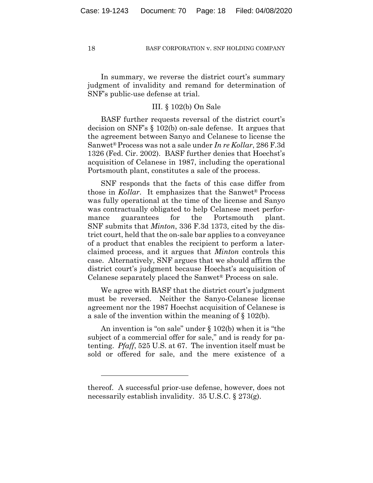In summary, we reverse the district court's summary judgment of invalidity and remand for determination of SNF's public-use defense at trial.

# III. § 102(b) On Sale

BASF further requests reversal of the district court's decision on SNF's § 102(b) on-sale defense. It argues that the agreement between Sanyo and Celanese to license the Sanwet® Process was not a sale under *In re Kollar*, 286 F.3d 1326 (Fed. Cir. 2002). BASF further denies that Hoechst's acquisition of Celanese in 1987, including the operational Portsmouth plant, constitutes a sale of the process.

SNF responds that the facts of this case differ from those in *Kollar*. It emphasizes that the Sanwet® Process was fully operational at the time of the license and Sanyo was contractually obligated to help Celanese meet performance guarantees for the Portsmouth plant. SNF submits that *Minton*, 336 F.3d 1373, cited by the district court, held that the on-sale bar applies to a conveyance of a product that enables the recipient to perform a laterclaimed process, and it argues that *Minton* controls this case. Alternatively, SNF argues that we should affirm the district court's judgment because Hoechst's acquisition of Celanese separately placed the Sanwet® Process on sale.

We agree with BASF that the district court's judgment must be reversed. Neither the Sanyo-Celanese license agreement nor the 1987 Hoechst acquisition of Celanese is a sale of the invention within the meaning of § 102(b).

An invention is "on sale" under § 102(b) when it is "the subject of a commercial offer for sale," and is ready for patenting. *Pfaff*, 525 U.S. at 67. The invention itself must be sold or offered for sale, and the mere existence of a

thereof. A successful prior-use defense, however, does not necessarily establish invalidity. 35 U.S.C. § 273(g).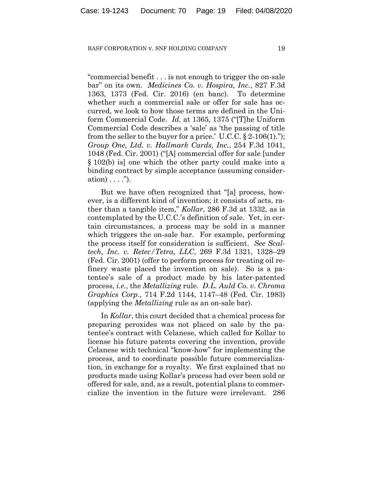"commercial benefit . . . is not enough to trigger the on-sale bar" on its own. *Medicines Co. v. Hospira, Inc.*, 827 F.3d 1363, 1373 (Fed. Cir. 2016) (en banc). To determine whether such a commercial sale or offer for sale has occurred, we look to how those terms are defined in the Uniform Commercial Code. *Id.* at 1365, 1375 ("[T]he Uniform Commercial Code describes a 'sale' as 'the passing of title from the seller to the buyer for a price.' U.C.C.  $\S 2\n-106(1)$ ."); *Group One, Ltd. v. Hallmark Cards, Inc.*, 254 F.3d 1041, 1048 (Fed. Cir. 2001) ("[A] commercial offer for sale [under § 102(b) is] one which the other party could make into a binding contract by simple acceptance (assuming consideration)  $\ldots$  .").

But we have often recognized that "[a] process, however, is a different kind of invention; it consists of acts, rather than a tangible item," *Kollar*, 286 F.3d at 1332, as is contemplated by the U.C.C.'s definition of sale. Yet, in certain circumstances, a process may be sold in a manner which triggers the on-sale bar. For example, performing the process itself for consideration is sufficient. *See Scaltech, Inc. v. Retec/Tetra, LLC*, 269 F.3d 1321, 1328–29 (Fed. Cir. 2001) (offer to perform process for treating oil refinery waste placed the invention on sale). So is a patentee's sale of a product made by his later-patented process, *i.e.*, the *Metallizing* rule. *D.L. Auld Co. v. Chroma Graphics Corp.*, 714 F.2d 1144, 1147–48 (Fed. Cir. 1983) (applying the *Metallizing* rule as an on-sale bar).

In *Kollar*, this court decided that a chemical process for preparing peroxides was not placed on sale by the patentee's contract with Celanese, which called for Kollar to license his future patents covering the invention, provide Celanese with technical "know-how" for implementing the process, and to coordinate possible future commercialization, in exchange for a royalty. We first explained that no products made using Kollar's process had ever been sold or offered for sale, and, as a result, potential plans to commercialize the invention in the future were irrelevant. 286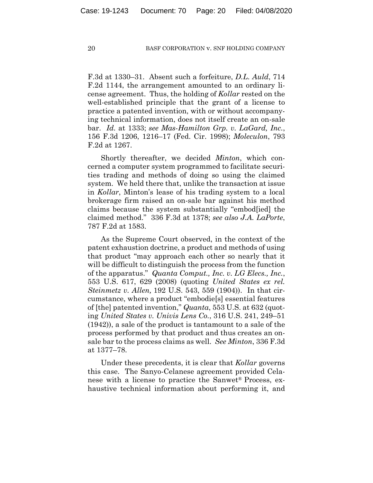F.3d at 1330–31. Absent such a forfeiture, *D.L. Auld*, 714 F.2d 1144, the arrangement amounted to an ordinary license agreement. Thus, the holding of *Kollar* rested on the well-established principle that the grant of a license to practice a patented invention, with or without accompanying technical information, does not itself create an on-sale bar. *Id.* at 1333; *see Mas-Hamilton Grp. v. LaGard, Inc.*, 156 F.3d 1206, 1216–17 (Fed. Cir. 1998); *Moleculon*, 793 F.2d at 1267.

Shortly thereafter, we decided *Minton*, which concerned a computer system programmed to facilitate securities trading and methods of doing so using the claimed system. We held there that, unlike the transaction at issue in *Kollar*, Minton's lease of his trading system to a local brokerage firm raised an on-sale bar against his method claims because the system substantially "embod[ied] the claimed method." 336 F.3d at 1378; *see also J.A. LaPorte*, 787 F.2d at 1583.

As the Supreme Court observed, in the context of the patent exhaustion doctrine, a product and methods of using that product "may approach each other so nearly that it will be difficult to distinguish the process from the function of the apparatus." *Quanta Comput., Inc. v. LG Elecs., Inc.*, 553 U.S. 617, 629 (2008) (quoting *United States ex rel. Steinmetz v. Allen,* 192 U.S. 543, 559 (1904)). In that circumstance, where a product "embodie[s] essential features of [the] patented invention," *Quanta*, 553 U.S. at 632 (quoting *United States v. Univis Lens Co.*, 316 U.S. 241, 249–51 (1942)), a sale of the product is tantamount to a sale of the process performed by that product and thus creates an onsale bar to the process claims as well. *See Minton*, 336 F.3d at 1377–78.

Under these precedents, it is clear that *Kollar* governs this case. The Sanyo-Celanese agreement provided Celanese with a license to practice the Sanwet® Process, exhaustive technical information about performing it, and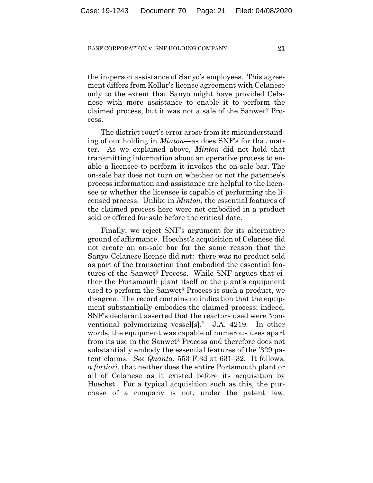the in-person assistance of Sanyo's employees. This agreement differs from Kollar's license agreement with Celanese only to the extent that Sanyo might have provided Celanese with more assistance to enable it to perform the claimed process, but it was not a sale of the Sanwet® Process.

The district court's error arose from its misunderstanding of our holding in *Minton*—as does SNF's for that matter. As we explained above, *Minton* did not hold that transmitting information about an operative process to enable a licensee to perform it invokes the on-sale bar. The on-sale bar does not turn on whether or not the patentee's process information and assistance are helpful to the licensee or whether the licensee is capable of performing the licensed process. Unlike in *Minton*, the essential features of the claimed process here were not embodied in a product sold or offered for sale before the critical date.

Finally, we reject SNF's argument for its alternative ground of affirmance. Hoechst's acquisition of Celanese did not create an on-sale bar for the same reason that the Sanyo-Celanese license did not: there was no product sold as part of the transaction that embodied the essential features of the Sanwet® Process. While SNF argues that either the Portsmouth plant itself or the plant's equipment used to perform the Sanwet® Process is such a product, we disagree. The record contains no indication that the equipment substantially embodies the claimed process; indeed, SNF's declarant asserted that the reactors used were "conventional polymerizing vessel[s]." J.A. 4219. In other words, the equipment was capable of numerous uses apart from its use in the Sanwet® Process and therefore does not substantially embody the essential features of the '329 patent claims. *See Quanta*, 553 F.3d at 631–32. It follows, *a fortiori*, that neither does the entire Portsmouth plant or all of Celanese as it existed before its acquisition by Hoechst. For a typical acquisition such as this, the purchase of a company is not, under the patent law,